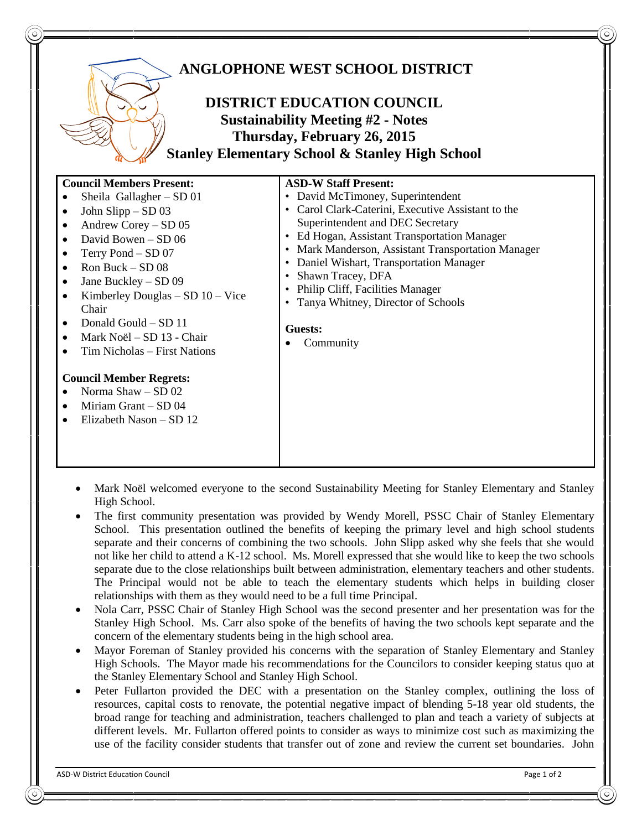

- Mark Noël welcomed everyone to the second Sustainability Meeting for Stanley Elementary and Stanley High School.
- The first community presentation was provided by Wendy Morell, PSSC Chair of Stanley Elementary School. This presentation outlined the benefits of keeping the primary level and high school students separate and their concerns of combining the two schools. John Slipp asked why she feels that she would not like her child to attend a K-12 school. Ms. Morell expressed that she would like to keep the two schools separate due to the close relationships built between administration, elementary teachers and other students. The Principal would not be able to teach the elementary students which helps in building closer relationships with them as they would need to be a full time Principal.
- Nola Carr, PSSC Chair of Stanley High School was the second presenter and her presentation was for the Stanley High School. Ms. Carr also spoke of the benefits of having the two schools kept separate and the concern of the elementary students being in the high school area.
- Mayor Foreman of Stanley provided his concerns with the separation of Stanley Elementary and Stanley High Schools. The Mayor made his recommendations for the Councilors to consider keeping status quo at the Stanley Elementary School and Stanley High School.
- Peter Fullarton provided the DEC with a presentation on the Stanley complex, outlining the loss of resources, capital costs to renovate, the potential negative impact of blending 5-18 year old students, the broad range for teaching and administration, teachers challenged to plan and teach a variety of subjects at different levels. Mr. Fullarton offered points to consider as ways to minimize cost such as maximizing the use of the facility consider students that transfer out of zone and review the current set boundaries. John